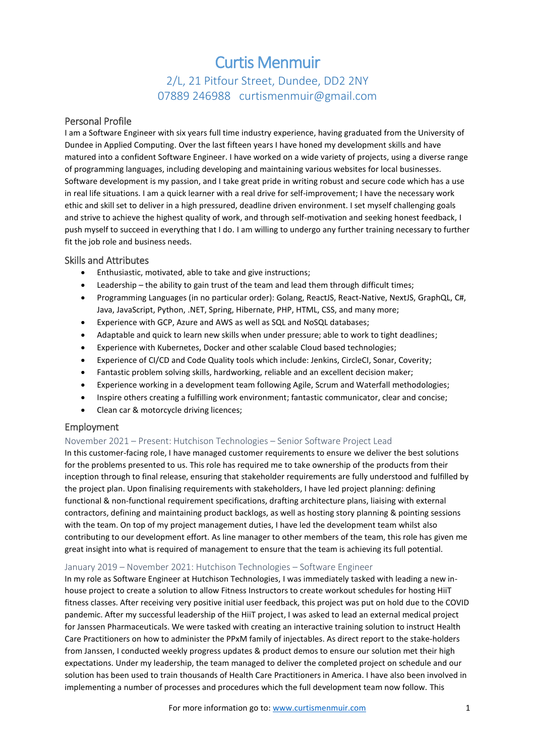# Curtis Menmuir 2/L, 21 Pitfour Street, Dundee, DD2 2NY 07889 246988 curtismenmuir@gmail.com

# Personal Profile

I am a Software Engineer with six years full time industry experience, having graduated from the University of Dundee in Applied Computing. Over the last fifteen years I have honed my development skills and have matured into a confident Software Engineer. I have worked on a wide variety of projects, using a diverse range of programming languages, including developing and maintaining various websites for local businesses. Software development is my passion, and I take great pride in writing robust and secure code which has a use in real life situations. I am a quick learner with a real drive for self-improvement; I have the necessary work ethic and skill set to deliver in a high pressured, deadline driven environment. I set myself challenging goals and strive to achieve the highest quality of work, and through self-motivation and seeking honest feedback, I push myself to succeed in everything that I do. I am willing to undergo any further training necessary to further fit the job role and business needs.

## Skills and Attributes

- Enthusiastic, motivated, able to take and give instructions;
- Leadership the ability to gain trust of the team and lead them through difficult times;
- Programming Languages (in no particular order): Golang, ReactJS, React-Native, NextJS, GraphQL, C#, Java, JavaScript, Python, .NET, Spring, Hibernate, PHP, HTML, CSS, and many more;
- Experience with GCP, Azure and AWS as well as SQL and NoSQL databases;
- Adaptable and quick to learn new skills when under pressure; able to work to tight deadlines;
- Experience with Kubernetes, Docker and other scalable Cloud based technologies;
- Experience of CI/CD and Code Quality tools which include: Jenkins, CircleCI, Sonar, Coverity;
- Fantastic problem solving skills, hardworking, reliable and an excellent decision maker;
- Experience working in a development team following Agile, Scrum and Waterfall methodologies;
- Inspire others creating a fulfilling work environment; fantastic communicator, clear and concise;
- Clean car & motorcycle driving licences;

## Employment

#### November 2021 – Present: Hutchison Technologies – Senior Software Project Lead

In this customer-facing role, I have managed customer requirements to ensure we deliver the best solutions for the problems presented to us. This role has required me to take ownership of the products from their inception through to final release, ensuring that stakeholder requirements are fully understood and fulfilled by the project plan. Upon finalising requirements with stakeholders, I have led project planning: defining functional & non-functional requirement specifications, drafting architecture plans, liaising with external contractors, defining and maintaining product backlogs, as well as hosting story planning & pointing sessions with the team. On top of my project management duties, I have led the development team whilst also contributing to our development effort. As line manager to other members of the team, this role has given me great insight into what is required of management to ensure that the team is achieving its full potential.

#### January 2019 – November 2021: Hutchison Technologies – Software Engineer

In my role as Software Engineer at Hutchison Technologies, I was immediately tasked with leading a new inhouse project to create a solution to allow Fitness Instructors to create workout schedules for hosting HiiT fitness classes. After receiving very positive initial user feedback, this project was put on hold due to the COVID pandemic. After my successful leadership of the HiiT project, I was asked to lead an external medical project for Janssen Pharmaceuticals. We were tasked with creating an interactive training solution to instruct Health Care Practitioners on how to administer the PPxM family of injectables. As direct report to the stake-holders from Janssen, I conducted weekly progress updates & product demos to ensure our solution met their high expectations. Under my leadership, the team managed to deliver the completed project on schedule and our solution has been used to train thousands of Health Care Practitioners in America. I have also been involved in implementing a number of processes and procedures which the full development team now follow. This